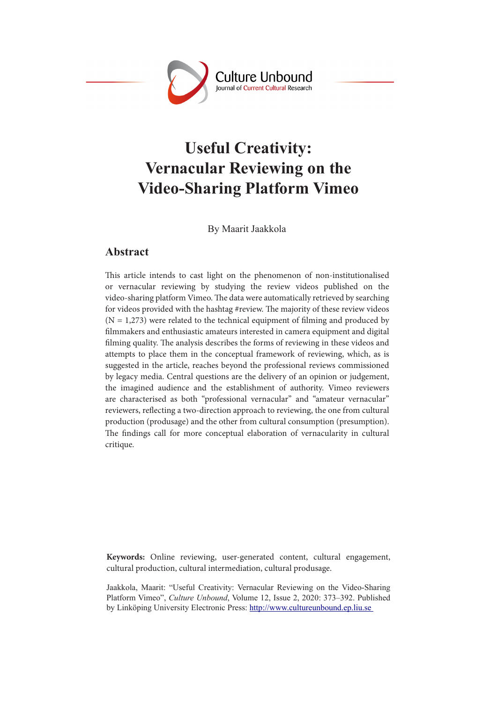

# **Useful Creativity: Vernacular Reviewing on the Video-Sharing Platform Vimeo**

By Maarit Jaakkola

# **Abstract**

This article intends to cast light on the phenomenon of non-institutionalised or vernacular reviewing by studying the review videos published on the video-sharing platform Vimeo. The data were automatically retrieved by searching for videos provided with the hashtag #review. The majority of these review videos  $(N = 1,273)$  were related to the technical equipment of filming and produced by filmmakers and enthusiastic amateurs interested in camera equipment and digital filming quality. The analysis describes the forms of reviewing in these videos and attempts to place them in the conceptual framework of reviewing, which, as is suggested in the article, reaches beyond the professional reviews commissioned by legacy media. Central questions are the delivery of an opinion or judgement, the imagined audience and the establishment of authority. Vimeo reviewers are characterised as both "professional vernacular" and "amateur vernacular" reviewers, reflecting a two-direction approach to reviewing, the one from cultural production (produsage) and the other from cultural consumption (presumption). The findings call for more conceptual elaboration of vernacularity in cultural critique.

**Keywords:** Online reviewing, user-generated content, cultural engagement, cultural production, cultural intermediation, cultural produsage.

Jaakkola, Maarit: "Useful Creativity: Vernacular Reviewing on the Video-Sharing Platform Vimeo", *Culture Unbound*, Volume 12, Issue 2, 2020: 373–392. Published by Linköping University Electronic Press: http://www.cultureunbound.ep.liu.se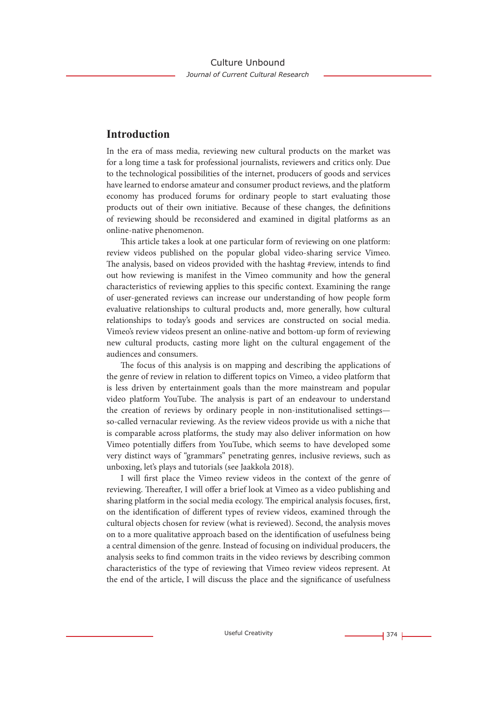## **Introduction**

In the era of mass media, reviewing new cultural products on the market was for a long time a task for professional journalists, reviewers and critics only. Due to the technological possibilities of the internet, producers of goods and services have learned to endorse amateur and consumer product reviews, and the platform economy has produced forums for ordinary people to start evaluating those products out of their own initiative. Because of these changes, the definitions of reviewing should be reconsidered and examined in digital platforms as an online-native phenomenon.

This article takes a look at one particular form of reviewing on one platform: review videos published on the popular global video-sharing service Vimeo. The analysis, based on videos provided with the hashtag #review, intends to find out how reviewing is manifest in the Vimeo community and how the general characteristics of reviewing applies to this specific context. Examining the range of user-generated reviews can increase our understanding of how people form evaluative relationships to cultural products and, more generally, how cultural relationships to today's goods and services are constructed on social media. Vimeo's review videos present an online-native and bottom-up form of reviewing new cultural products, casting more light on the cultural engagement of the audiences and consumers.

The focus of this analysis is on mapping and describing the applications of the genre of review in relation to different topics on Vimeo, a video platform that is less driven by entertainment goals than the more mainstream and popular video platform YouTube. The analysis is part of an endeavour to understand the creation of reviews by ordinary people in non-institutionalised settings so-called vernacular reviewing. As the review videos provide us with a niche that is comparable across platforms, the study may also deliver information on how Vimeo potentially differs from YouTube, which seems to have developed some very distinct ways of "grammars" penetrating genres, inclusive reviews, such as unboxing, let's plays and tutorials (see Jaakkola 2018).

I will first place the Vimeo review videos in the context of the genre of reviewing. Thereafter, I will offer a brief look at Vimeo as a video publishing and sharing platform in the social media ecology. The empirical analysis focuses, first, on the identification of different types of review videos, examined through the cultural objects chosen for review (what is reviewed). Second, the analysis moves on to a more qualitative approach based on the identification of usefulness being a central dimension of the genre. Instead of focusing on individual producers, the analysis seeks to find common traits in the video reviews by describing common characteristics of the type of reviewing that Vimeo review videos represent. At the end of the article, I will discuss the place and the significance of usefulness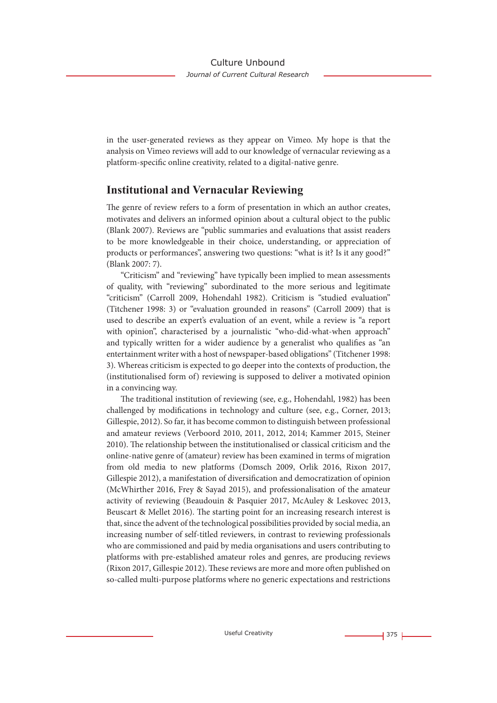in the user-generated reviews as they appear on Vimeo. My hope is that the analysis on Vimeo reviews will add to our knowledge of vernacular reviewing as a platform-specific online creativity, related to a digital-native genre.

### **Institutional and Vernacular Reviewing**

The genre of review refers to a form of presentation in which an author creates, motivates and delivers an informed opinion about a cultural object to the public (Blank 2007). Reviews are "public summaries and evaluations that assist readers to be more knowledgeable in their choice, understanding, or appreciation of products or performances", answering two questions: "what is it? Is it any good?" (Blank 2007: 7).

"Criticism" and "reviewing" have typically been implied to mean assessments of quality, with "reviewing" subordinated to the more serious and legitimate "criticism" (Carroll 2009, Hohendahl 1982). Criticism is "studied evaluation" (Titchener 1998: 3) or "evaluation grounded in reasons" (Carroll 2009) that is used to describe an expert's evaluation of an event, while a review is "a report with opinion", characterised by a journalistic "who-did-what-when approach" and typically written for a wider audience by a generalist who qualifies as "an entertainment writer with a host of newspaper-based obligations" (Titchener 1998: 3). Whereas criticism is expected to go deeper into the contexts of production, the (institutionalised form of) reviewing is supposed to deliver a motivated opinion in a convincing way.

The traditional institution of reviewing (see, e.g., Hohendahl, 1982) has been challenged by modifications in technology and culture (see, e.g., Corner, 2013; Gillespie, 2012). So far, it has become common to distinguish between professional and amateur reviews (Verboord 2010, 2011, 2012, 2014; Kammer 2015, Steiner 2010). The relationship between the institutionalised or classical criticism and the online-native genre of (amateur) review has been examined in terms of migration from old media to new platforms (Domsch 2009, Orlik 2016, Rixon 2017, Gillespie 2012), a manifestation of diversification and democratization of opinion (McWhirther 2016, Frey & Sayad 2015), and professionalisation of the amateur activity of reviewing (Beaudouin & Pasquier 2017, McAuley & Leskovec 2013, Beuscart & Mellet 2016). The starting point for an increasing research interest is that, since the advent of the technological possibilities provided by social media, an increasing number of self-titled reviewers, in contrast to reviewing professionals who are commissioned and paid by media organisations and users contributing to platforms with pre-established amateur roles and genres, are producing reviews (Rixon 2017, Gillespie 2012). These reviews are more and more often published on so-called multi-purpose platforms where no generic expectations and restrictions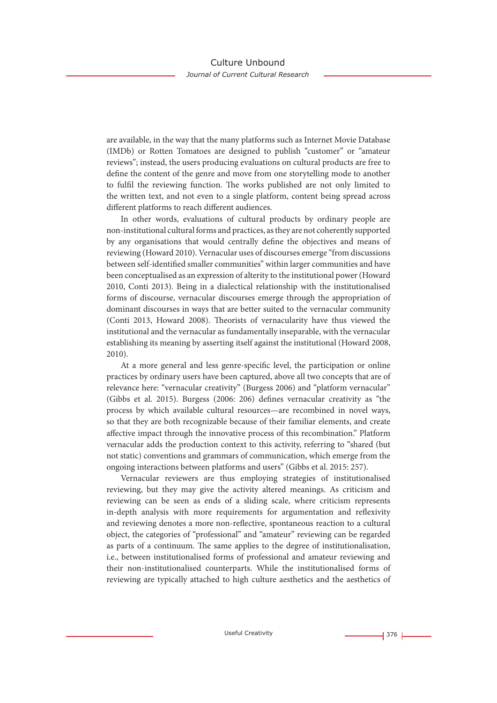are available, in the way that the many platforms such as Internet Movie Database (IMDb) or Rotten Tomatoes are designed to publish "customer" or "amateur reviews"; instead, the users producing evaluations on cultural products are free to define the content of the genre and move from one storytelling mode to another to fulfil the reviewing function. The works published are not only limited to the written text, and not even to a single platform, content being spread across different platforms to reach different audiences.

In other words, evaluations of cultural products by ordinary people are non-institutional cultural forms and practices, as they are not coherently supported by any organisations that would centrally define the objectives and means of reviewing (Howard 2010). Vernacular uses of discourses emerge "from discussions between self-identified smaller communities" within larger communities and have been conceptualised as an expression of alterity to the institutional power (Howard 2010, Conti 2013). Being in a dialectical relationship with the institutionalised forms of discourse, vernacular discourses emerge through the appropriation of dominant discourses in ways that are better suited to the vernacular community (Conti 2013, Howard 2008). Theorists of vernacularity have thus viewed the institutional and the vernacular as fundamentally inseparable, with the vernacular establishing its meaning by asserting itself against the institutional (Howard 2008, 2010).

At a more general and less genre-specific level, the participation or online practices by ordinary users have been captured, above all two concepts that are of relevance here: "vernacular creativity" (Burgess 2006) and "platform vernacular" (Gibbs et al. 2015). Burgess (2006: 206) defines vernacular creativity as "the process by which available cultural resources—are recombined in novel ways, so that they are both recognizable because of their familiar elements, and create affective impact through the innovative process of this recombination." Platform vernacular adds the production context to this activity, referring to "shared (but not static) conventions and grammars of communication, which emerge from the ongoing interactions between platforms and users" (Gibbs et al. 2015: 257).

Vernacular reviewers are thus employing strategies of institutionalised reviewing, but they may give the activity altered meanings. As criticism and reviewing can be seen as ends of a sliding scale, where criticism represents in-depth analysis with more requirements for argumentation and reflexivity and reviewing denotes a more non-reflective, spontaneous reaction to a cultural object, the categories of "professional" and "amateur" reviewing can be regarded as parts of a continuum. The same applies to the degree of institutionalisation, i.e., between institutionalised forms of professional and amateur reviewing and their non-institutionalised counterparts. While the institutionalised forms of reviewing are typically attached to high culture aesthetics and the aesthetics of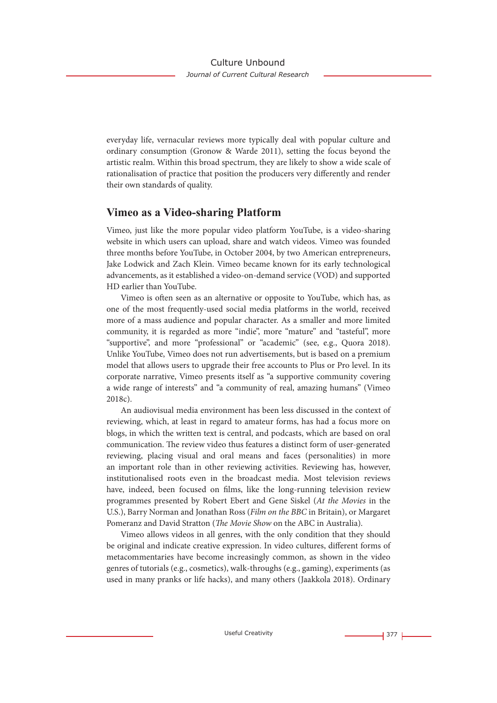everyday life, vernacular reviews more typically deal with popular culture and ordinary consumption (Gronow & Warde 2011), setting the focus beyond the artistic realm. Within this broad spectrum, they are likely to show a wide scale of rationalisation of practice that position the producers very differently and render their own standards of quality.

### **Vimeo as a Video-sharing Platform**

Vimeo, just like the more popular video platform YouTube, is a video-sharing website in which users can upload, share and watch videos. Vimeo was founded three months before YouTube, in October 2004, by two American entrepreneurs, Jake Lodwick and Zach Klein. Vimeo became known for its early technological advancements, as it established a video-on-demand service (VOD) and supported HD earlier than YouTube.

Vimeo is often seen as an alternative or opposite to YouTube, which has, as one of the most frequently-used social media platforms in the world, received more of a mass audience and popular character. As a smaller and more limited community, it is regarded as more "indie", more "mature" and "tasteful", more "supportive", and more "professional" or "academic" (see, e.g., Quora 2018). Unlike YouTube, Vimeo does not run advertisements, but is based on a premium model that allows users to upgrade their free accounts to Plus or Pro level. In its corporate narrative, Vimeo presents itself as "a supportive community covering a wide range of interests" and "a community of real, amazing humans" (Vimeo 2018c).

An audiovisual media environment has been less discussed in the context of reviewing, which, at least in regard to amateur forms, has had a focus more on blogs, in which the written text is central, and podcasts, which are based on oral communication. The review video thus features a distinct form of user-generated reviewing, placing visual and oral means and faces (personalities) in more an important role than in other reviewing activities. Reviewing has, however, institutionalised roots even in the broadcast media. Most television reviews have, indeed, been focused on films, like the long-running television review programmes presented by Robert Ebert and Gene Siskel (*At the Movies* in the U.S.), Barry Norman and Jonathan Ross (*Film on the BBC* in Britain), or Margaret Pomeranz and David Stratton (*The Movie Show* on the ABC in Australia).

Vimeo allows videos in all genres, with the only condition that they should be original and indicate creative expression. In video cultures, different forms of metacommentaries have become increasingly common, as shown in the video genres of tutorials (e.g., cosmetics), walk-throughs (e.g., gaming), experiments (as used in many pranks or life hacks), and many others (Jaakkola 2018). Ordinary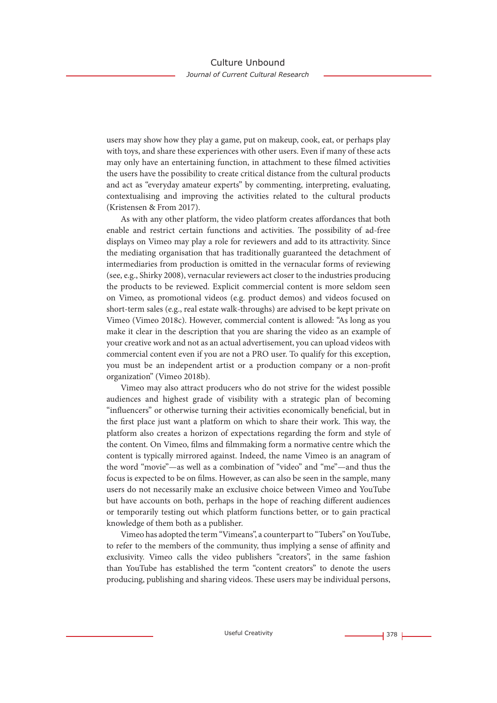users may show how they play a game, put on makeup, cook, eat, or perhaps play with toys, and share these experiences with other users. Even if many of these acts may only have an entertaining function, in attachment to these filmed activities the users have the possibility to create critical distance from the cultural products and act as "everyday amateur experts" by commenting, interpreting, evaluating, contextualising and improving the activities related to the cultural products (Kristensen & From 2017).

As with any other platform, the video platform creates affordances that both enable and restrict certain functions and activities. The possibility of ad-free displays on Vimeo may play a role for reviewers and add to its attractivity. Since the mediating organisation that has traditionally guaranteed the detachment of intermediaries from production is omitted in the vernacular forms of reviewing (see, e.g., Shirky 2008), vernacular reviewers act closer to the industries producing the products to be reviewed. Explicit commercial content is more seldom seen on Vimeo, as promotional videos (e.g. product demos) and videos focused on short-term sales (e.g., real estate walk-throughs) are advised to be kept private on Vimeo (Vimeo 2018c). However, commercial content is allowed: "As long as you make it clear in the description that you are sharing the video as an example of your creative work and not as an actual advertisement, you can upload videos with commercial content even if you are not a PRO user. To qualify for this exception, you must be an independent artist or a production company or a non-profit organization" (Vimeo 2018b).

Vimeo may also attract producers who do not strive for the widest possible audiences and highest grade of visibility with a strategic plan of becoming "influencers" or otherwise turning their activities economically beneficial, but in the first place just want a platform on which to share their work. This way, the platform also creates a horizon of expectations regarding the form and style of the content. On Vimeo, films and filmmaking form a normative centre which the content is typically mirrored against. Indeed, the name Vimeo is an anagram of the word "movie"—as well as a combination of "video" and "me"—and thus the focus is expected to be on films. However, as can also be seen in the sample, many users do not necessarily make an exclusive choice between Vimeo and YouTube but have accounts on both, perhaps in the hope of reaching different audiences or temporarily testing out which platform functions better, or to gain practical knowledge of them both as a publisher.

Vimeo has adopted the term "Vimeans", a counterpart to "Tubers" on YouTube, to refer to the members of the community, thus implying a sense of affinity and exclusivity. Vimeo calls the video publishers "creators", in the same fashion than YouTube has established the term "content creators" to denote the users producing, publishing and sharing videos. These users may be individual persons,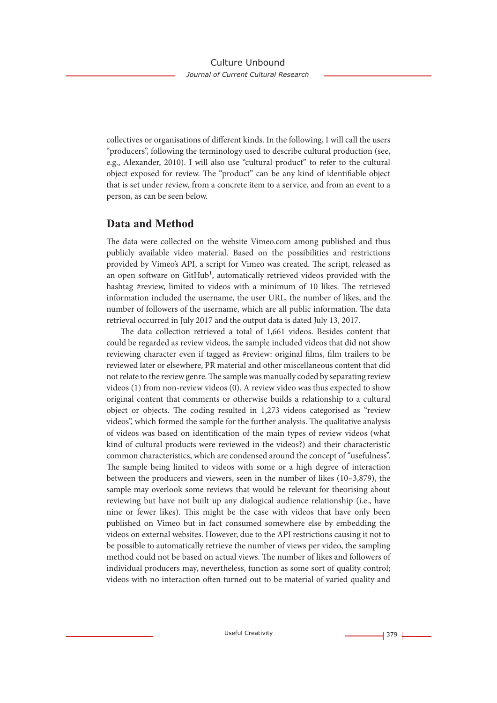collectives or organisations of different kinds. In the following, I will call the users "producers", following the terminology used to describe cultural production (see, e.g., Alexander, 2010). I will also use "cultural product" to refer to the cultural object exposed for review. The "product" can be any kind of identifiable object that is set under review, from a concrete item to a service, and from an event to a person, as can be seen below.

### **Data and Method**

The data were collected on the website Vimeo.com among published and thus publicly available video material. Based on the possibilities and restrictions provided by Vimeo's API, a script for Vimeo was created. The script, released as an open software on GitHub<sup>1</sup>, automatically retrieved videos provided with the hashtag #review, limited to videos with a minimum of 10 likes. The retrieved information included the username, the user URL, the number of likes, and the number of followers of the username, which are all public information. The data retrieval occurred in July 2017 and the output data is dated July 13, 2017.

The data collection retrieved a total of 1,661 videos. Besides content that could be regarded as review videos, the sample included videos that did not show reviewing character even if tagged as #review: original films, film trailers to be reviewed later or elsewhere, PR material and other miscellaneous content that did not relate to the review genre. The sample was manually coded by separating review videos (1) from non-review videos (0). A review video was thus expected to show original content that comments or otherwise builds a relationship to a cultural object or objects. The coding resulted in 1,273 videos categorised as "review videos", which formed the sample for the further analysis. The qualitative analysis of videos was based on identification of the main types of review videos (what kind of cultural products were reviewed in the videos?) and their characteristic common characteristics, which are condensed around the concept of "usefulness". The sample being limited to videos with some or a high degree of interaction between the producers and viewers, seen in the number of likes (10–3,879), the sample may overlook some reviews that would be relevant for theorising about reviewing but have not built up any dialogical audience relationship (i.e., have nine or fewer likes). This might be the case with videos that have only been published on Vimeo but in fact consumed somewhere else by embedding the videos on external websites. However, due to the API restrictions causing it not to be possible to automatically retrieve the number of views per video, the sampling method could not be based on actual views. The number of likes and followers of individual producers may, nevertheless, function as some sort of quality control; videos with no interaction often turned out to be material of varied quality and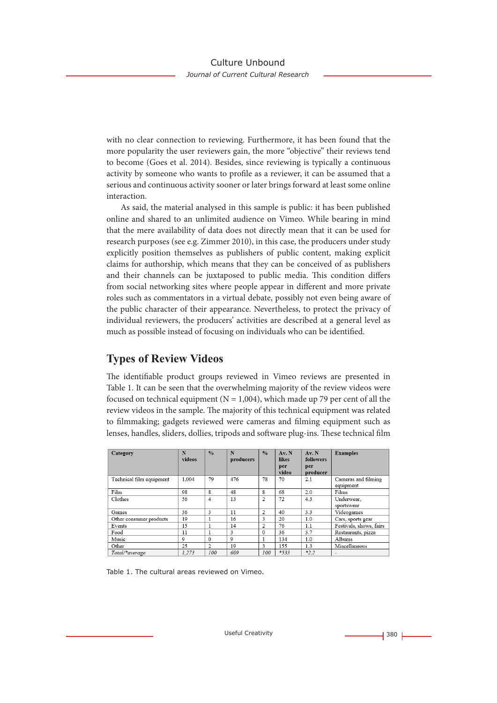with no clear connection to reviewing. Furthermore, it has been found that the more popularity the user reviewers gain, the more "objective" their reviews tend to become (Goes et al. 2014). Besides, since reviewing is typically a continuous activity by someone who wants to profile as a reviewer, it can be assumed that a serious and continuous activity sooner or later brings forward at least some online interaction.

As said, the material analysed in this sample is public: it has been published online and shared to an unlimited audience on Vimeo. While bearing in mind that the mere availability of data does not directly mean that it can be used for research purposes (see e.g. Zimmer 2010), in this case, the producers under study explicitly position themselves as publishers of public content, making explicit claims for authorship, which means that they can be conceived of as publishers and their channels can be juxtaposed to public media. This condition differs from social networking sites where people appear in different and more private roles such as commentators in a virtual debate, possibly not even being aware of the public character of their appearance. Nevertheless, to protect the privacy of individual reviewers, the producers' activities are described at a general level as much as possible instead of focusing on individuals who can be identified.

# **Types of Review Videos**

The identifiable product groups reviewed in Vimeo reviews are presented in Table 1. It can be seen that the overwhelming majority of the review videos were focused on technical equipment ( $N = 1,004$ ), which made up 79 per cent of all the review videos in the sample. The majority of this technical equipment was related to filmmaking; gadgets reviewed were cameras and filming equipment such as lenses, handles, sliders, dollies, tripods and software plug-ins. These technical film

| Category                 | N<br>videos    | $\frac{0}{0}$ | N<br>producers | $\frac{0}{0}$ | Av. N<br>likes<br>per<br>video | Av. N<br>followers<br>per<br>producer | <b>Examples</b>                  |
|--------------------------|----------------|---------------|----------------|---------------|--------------------------------|---------------------------------------|----------------------------------|
| Technical film equipment | 1.004          | 79            | 476            | 78            | 70                             | 2.1                                   | Cameras and filming<br>equipment |
| Film                     | 98             | 8             | 48             | 8             | 68                             | 2.0                                   | Films                            |
| Clothes                  | 56             | 4             | 13             | 2             | 72                             | 4.3                                   | Underwear.<br>sportswear         |
| Games                    | 36             | 3             | 11             | 2             | 40                             | 3.3                                   | Videogames                       |
| Other consumer products  | 19             |               | 16             | 3             | 20                             | 1.0                                   | Cars, sports gear                |
| Events                   | 15             |               | 14             | 2             | 76                             | 1.1                                   | Festivals, shows, fairs          |
| Food                     | 11             |               | 3              | $\Omega$      | 36                             | 3.7                                   | Restaurants, pizza               |
| Music                    | $\overline{Q}$ | $\Omega$      | 9              |               | 134                            | 1.0                                   | Albums                           |
| Other                    | 25             | 2             | 19             | 3             | 155                            | 1.3                                   | Miscellaneous                    |
| Total/*average           | 1.273          | 100           | 609            | 100           | $*_{533}$                      | $*2.2$                                |                                  |

Table 1. The cultural areas reviewed on Vimeo.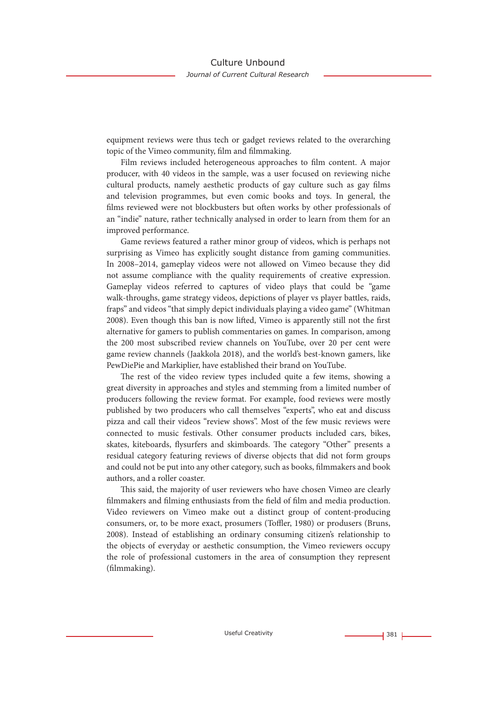equipment reviews were thus tech or gadget reviews related to the overarching topic of the Vimeo community, film and filmmaking.

Film reviews included heterogeneous approaches to film content. A major producer, with 40 videos in the sample, was a user focused on reviewing niche cultural products, namely aesthetic products of gay culture such as gay films and television programmes, but even comic books and toys. In general, the films reviewed were not blockbusters but often works by other professionals of an "indie" nature, rather technically analysed in order to learn from them for an improved performance.

Game reviews featured a rather minor group of videos, which is perhaps not surprising as Vimeo has explicitly sought distance from gaming communities. In 2008–2014, gameplay videos were not allowed on Vimeo because they did not assume compliance with the quality requirements of creative expression. Gameplay videos referred to captures of video plays that could be "game walk-throughs, game strategy videos, depictions of player vs player battles, raids, fraps" and videos "that simply depict individuals playing a video game" (Whitman 2008). Even though this ban is now lifted, Vimeo is apparently still not the first alternative for gamers to publish commentaries on games. In comparison, among the 200 most subscribed review channels on YouTube, over 20 per cent were game review channels (Jaakkola 2018), and the world's best-known gamers, like PewDiePie and Markiplier, have established their brand on YouTube.

The rest of the video review types included quite a few items, showing a great diversity in approaches and styles and stemming from a limited number of producers following the review format. For example, food reviews were mostly published by two producers who call themselves "experts", who eat and discuss pizza and call their videos "review shows". Most of the few music reviews were connected to music festivals. Other consumer products included cars, bikes, skates, kiteboards, flysurfers and skimboards. The category "Other" presents a residual category featuring reviews of diverse objects that did not form groups and could not be put into any other category, such as books, filmmakers and book authors, and a roller coaster.

This said, the majority of user reviewers who have chosen Vimeo are clearly filmmakers and filming enthusiasts from the field of film and media production. Video reviewers on Vimeo make out a distinct group of content-producing consumers, or, to be more exact, prosumers (Toffler, 1980) or produsers (Bruns, 2008). Instead of establishing an ordinary consuming citizen's relationship to the objects of everyday or aesthetic consumption, the Vimeo reviewers occupy the role of professional customers in the area of consumption they represent (filmmaking).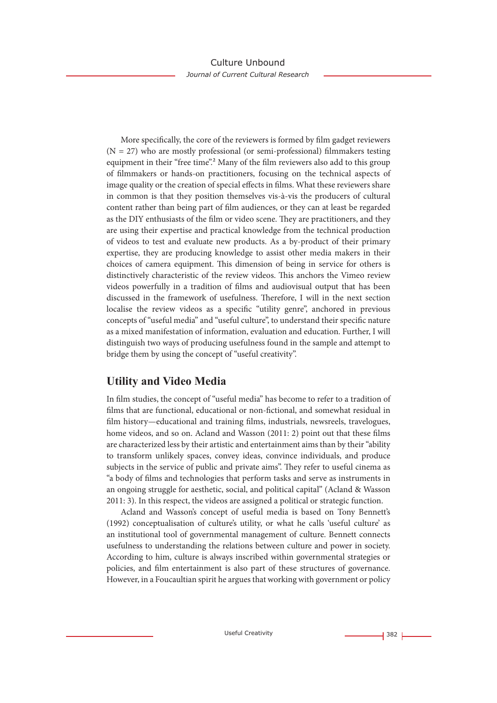More specifically, the core of the reviewers is formed by film gadget reviewers  $(N = 27)$  who are mostly professional (or semi-professional) filmmakers testing equipment in their "free time".<sup>2</sup> Many of the film reviewers also add to this group of filmmakers or hands-on practitioners, focusing on the technical aspects of image quality or the creation of special effects in films. What these reviewers share in common is that they position themselves vis-à-vis the producers of cultural content rather than being part of film audiences, or they can at least be regarded as the DIY enthusiasts of the film or video scene. They are practitioners, and they are using their expertise and practical knowledge from the technical production of videos to test and evaluate new products. As a by-product of their primary expertise, they are producing knowledge to assist other media makers in their choices of camera equipment. This dimension of being in service for others is distinctively characteristic of the review videos. This anchors the Vimeo review videos powerfully in a tradition of films and audiovisual output that has been discussed in the framework of usefulness. Therefore, I will in the next section localise the review videos as a specific "utility genre", anchored in previous concepts of "useful media" and "useful culture", to understand their specific nature as a mixed manifestation of information, evaluation and education. Further, I will distinguish two ways of producing usefulness found in the sample and attempt to bridge them by using the concept of "useful creativity".

# **Utility and Video Media**

In film studies, the concept of "useful media" has become to refer to a tradition of films that are functional, educational or non-fictional, and somewhat residual in film history—educational and training films, industrials, newsreels, travelogues, home videos, and so on. Acland and Wasson (2011: 2) point out that these films are characterized less by their artistic and entertainment aims than by their "ability to transform unlikely spaces, convey ideas, convince individuals, and produce subjects in the service of public and private aims". They refer to useful cinema as "a body of films and technologies that perform tasks and serve as instruments in an ongoing struggle for aesthetic, social, and political capital" (Acland & Wasson 2011: 3). In this respect, the videos are assigned a political or strategic function.

Acland and Wasson's concept of useful media is based on Tony Bennett's (1992) conceptualisation of culture's utility, or what he calls 'useful culture' as an institutional tool of governmental management of culture. Bennett connects usefulness to understanding the relations between culture and power in society. According to him, culture is always inscribed within governmental strategies or policies, and film entertainment is also part of these structures of governance. However, in a Foucaultian spirit he argues that working with government or policy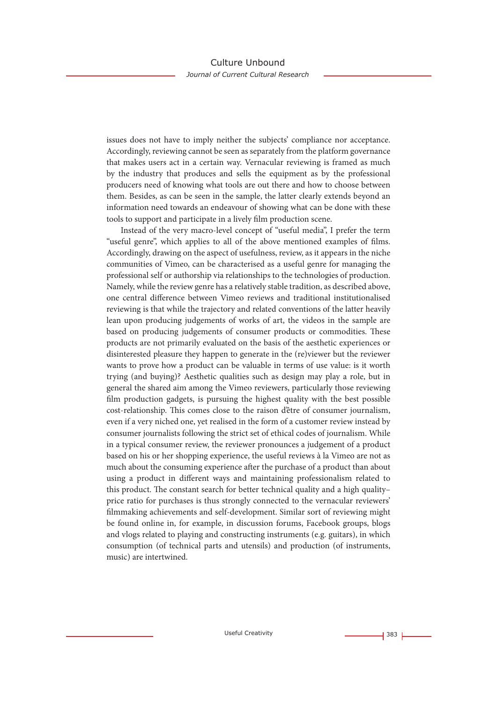issues does not have to imply neither the subjects' compliance nor acceptance. Accordingly, reviewing cannot be seen as separately from the platform governance that makes users act in a certain way. Vernacular reviewing is framed as much by the industry that produces and sells the equipment as by the professional producers need of knowing what tools are out there and how to choose between them. Besides, as can be seen in the sample, the latter clearly extends beyond an information need towards an endeavour of showing what can be done with these tools to support and participate in a lively film production scene.

Instead of the very macro-level concept of "useful media", I prefer the term "useful genre", which applies to all of the above mentioned examples of films. Accordingly, drawing on the aspect of usefulness, review, as it appears in the niche communities of Vimeo, can be characterised as a useful genre for managing the professional self or authorship via relationships to the technologies of production. Namely, while the review genre has a relatively stable tradition, as described above, one central difference between Vimeo reviews and traditional institutionalised reviewing is that while the trajectory and related conventions of the latter heavily lean upon producing judgements of works of art, the videos in the sample are based on producing judgements of consumer products or commodities. These products are not primarily evaluated on the basis of the aesthetic experiences or disinterested pleasure they happen to generate in the (re)viewer but the reviewer wants to prove how a product can be valuable in terms of use value: is it worth trying (and buying)? Aesthetic qualities such as design may play a role, but in general the shared aim among the Vimeo reviewers, particularly those reviewing film production gadgets, is pursuing the highest quality with the best possible cost-relationship. This comes close to the raison d'être of consumer journalism, even if a very niched one, yet realised in the form of a customer review instead by consumer journalists following the strict set of ethical codes of journalism. While in a typical consumer review, the reviewer pronounces a judgement of a product based on his or her shopping experience, the useful reviews à la Vimeo are not as much about the consuming experience after the purchase of a product than about using a product in different ways and maintaining professionalism related to this product. The constant search for better technical quality and a high quality– price ratio for purchases is thus strongly connected to the vernacular reviewers' filmmaking achievements and self-development. Similar sort of reviewing might be found online in, for example, in discussion forums, Facebook groups, blogs and vlogs related to playing and constructing instruments (e.g. guitars), in which consumption (of technical parts and utensils) and production (of instruments, music) are intertwined.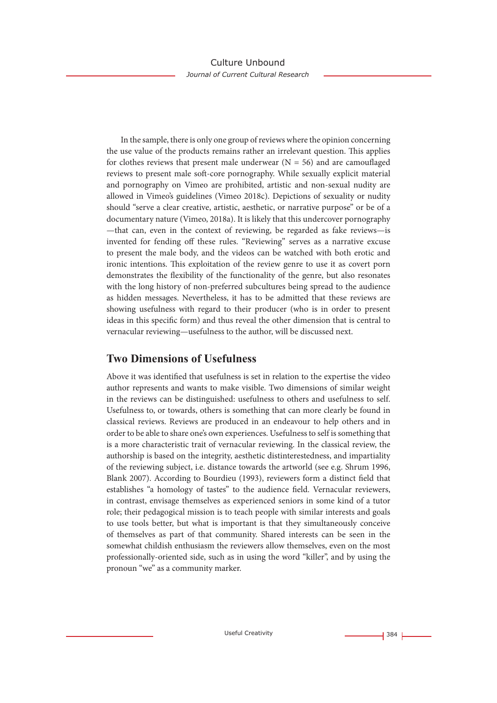In the sample, there is only one group of reviews where the opinion concerning the use value of the products remains rather an irrelevant question. This applies for clothes reviews that present male underwear  $(N = 56)$  and are camouflaged reviews to present male soft-core pornography. While sexually explicit material and pornography on Vimeo are prohibited, artistic and non-sexual nudity are allowed in Vimeo's guidelines (Vimeo 2018c). Depictions of sexuality or nudity should "serve a clear creative, artistic, aesthetic, or narrative purpose" or be of a documentary nature (Vimeo, 2018a). It is likely that this undercover pornography —that can, even in the context of reviewing, be regarded as fake reviews—is invented for fending off these rules. "Reviewing" serves as a narrative excuse to present the male body, and the videos can be watched with both erotic and ironic intentions. This exploitation of the review genre to use it as covert porn demonstrates the flexibility of the functionality of the genre, but also resonates with the long history of non-preferred subcultures being spread to the audience as hidden messages. Nevertheless, it has to be admitted that these reviews are showing usefulness with regard to their producer (who is in order to present ideas in this specific form) and thus reveal the other dimension that is central to vernacular reviewing—usefulness to the author, will be discussed next.

# **Two Dimensions of Usefulness**

Above it was identified that usefulness is set in relation to the expertise the video author represents and wants to make visible. Two dimensions of similar weight in the reviews can be distinguished: usefulness to others and usefulness to self. Usefulness to, or towards, others is something that can more clearly be found in classical reviews. Reviews are produced in an endeavour to help others and in order to be able to share one's own experiences. Usefulness to self is something that is a more characteristic trait of vernacular reviewing. In the classical review, the authorship is based on the integrity, aesthetic distinterestedness, and impartiality of the reviewing subject, i.e. distance towards the artworld (see e.g. Shrum 1996, Blank 2007). According to Bourdieu (1993), reviewers form a distinct field that establishes "a homology of tastes" to the audience field. Vernacular reviewers, in contrast, envisage themselves as experienced seniors in some kind of a tutor role; their pedagogical mission is to teach people with similar interests and goals to use tools better, but what is important is that they simultaneously conceive of themselves as part of that community. Shared interests can be seen in the somewhat childish enthusiasm the reviewers allow themselves, even on the most professionally-oriented side, such as in using the word "killer", and by using the pronoun "we" as a community marker.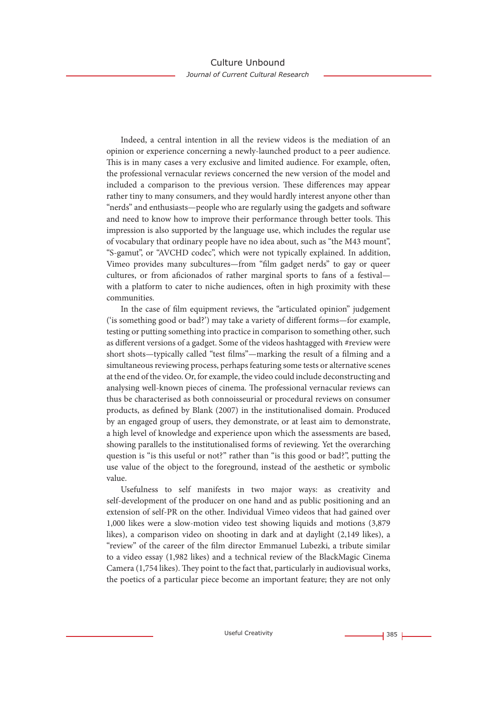Indeed, a central intention in all the review videos is the mediation of an opinion or experience concerning a newly-launched product to a peer audience. This is in many cases a very exclusive and limited audience. For example, often, the professional vernacular reviews concerned the new version of the model and included a comparison to the previous version. These differences may appear rather tiny to many consumers, and they would hardly interest anyone other than "nerds" and enthusiasts—people who are regularly using the gadgets and software and need to know how to improve their performance through better tools. This impression is also supported by the language use, which includes the regular use of vocabulary that ordinary people have no idea about, such as "the M43 mount", "S-gamut", or "AVCHD codec", which were not typically explained. In addition, Vimeo provides many subcultures—from "film gadget nerds" to gay or queer cultures, or from aficionados of rather marginal sports to fans of a festival with a platform to cater to niche audiences, often in high proximity with these communities.

In the case of film equipment reviews, the "articulated opinion" judgement ('is something good or bad?') may take a variety of different forms—for example, testing or putting something into practice in comparison to something other, such as different versions of a gadget. Some of the videos hashtagged with #review were short shots—typically called "test films"—marking the result of a filming and a simultaneous reviewing process, perhaps featuring some tests or alternative scenes at the end of the video. Or, for example, the video could include deconstructing and analysing well-known pieces of cinema. The professional vernacular reviews can thus be characterised as both connoisseurial or procedural reviews on consumer products, as defined by Blank (2007) in the institutionalised domain. Produced by an engaged group of users, they demonstrate, or at least aim to demonstrate, a high level of knowledge and experience upon which the assessments are based, showing parallels to the institutionalised forms of reviewing. Yet the overarching question is "is this useful or not?" rather than "is this good or bad?", putting the use value of the object to the foreground, instead of the aesthetic or symbolic value.

Usefulness to self manifests in two major ways: as creativity and self-development of the producer on one hand and as public positioning and an extension of self-PR on the other. Individual Vimeo videos that had gained over 1,000 likes were a slow-motion video test showing liquids and motions (3,879 likes), a comparison video on shooting in dark and at daylight (2,149 likes), a "review" of the career of the film director Emmanuel Lubezki, a tribute similar to a video essay (1,982 likes) and a technical review of the BlackMagic Cinema Camera (1,754 likes). They point to the fact that, particularly in audiovisual works, the poetics of a particular piece become an important feature; they are not only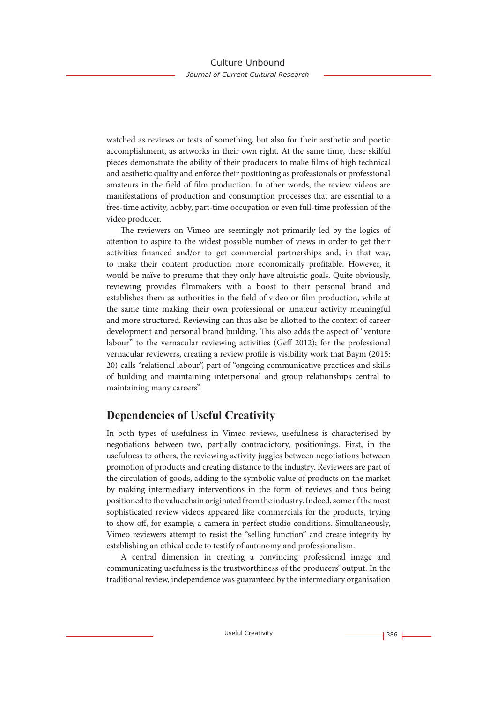watched as reviews or tests of something, but also for their aesthetic and poetic accomplishment, as artworks in their own right. At the same time, these skilful pieces demonstrate the ability of their producers to make films of high technical and aesthetic quality and enforce their positioning as professionals or professional amateurs in the field of film production. In other words, the review videos are manifestations of production and consumption processes that are essential to a free-time activity, hobby, part-time occupation or even full-time profession of the video producer.

The reviewers on Vimeo are seemingly not primarily led by the logics of attention to aspire to the widest possible number of views in order to get their activities financed and/or to get commercial partnerships and, in that way, to make their content production more economically profitable. However, it would be naïve to presume that they only have altruistic goals. Quite obviously, reviewing provides filmmakers with a boost to their personal brand and establishes them as authorities in the field of video or film production, while at the same time making their own professional or amateur activity meaningful and more structured. Reviewing can thus also be allotted to the context of career development and personal brand building. This also adds the aspect of "venture labour" to the vernacular reviewing activities (Geff 2012); for the professional vernacular reviewers, creating a review profile is visibility work that Baym (2015: 20) calls "relational labour", part of "ongoing communicative practices and skills of building and maintaining interpersonal and group relationships central to maintaining many careers".

# **Dependencies of Useful Creativity**

In both types of usefulness in Vimeo reviews, usefulness is characterised by negotiations between two, partially contradictory, positionings. First, in the usefulness to others, the reviewing activity juggles between negotiations between promotion of products and creating distance to the industry. Reviewers are part of the circulation of goods, adding to the symbolic value of products on the market by making intermediary interventions in the form of reviews and thus being positioned to the value chain originated from the industry. Indeed, some of the most sophisticated review videos appeared like commercials for the products, trying to show off, for example, a camera in perfect studio conditions. Simultaneously, Vimeo reviewers attempt to resist the "selling function" and create integrity by establishing an ethical code to testify of autonomy and professionalism.

A central dimension in creating a convincing professional image and communicating usefulness is the trustworthiness of the producers' output. In the traditional review, independence was guaranteed by the intermediary organisation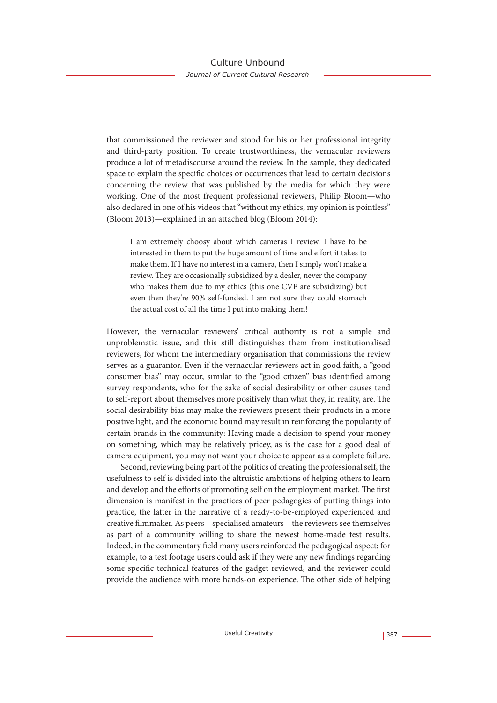that commissioned the reviewer and stood for his or her professional integrity and third-party position. To create trustworthiness, the vernacular reviewers produce a lot of metadiscourse around the review. In the sample, they dedicated space to explain the specific choices or occurrences that lead to certain decisions concerning the review that was published by the media for which they were working. One of the most frequent professional reviewers, Philip Bloom—who also declared in one of his videos that "without my ethics, my opinion is pointless" (Bloom 2013)—explained in an attached blog (Bloom 2014):

I am extremely choosy about which cameras I review. I have to be interested in them to put the huge amount of time and effort it takes to make them. If I have no interest in a camera, then I simply won't make a review. They are occasionally subsidized by a dealer, never the company who makes them due to my ethics (this one CVP are subsidizing) but even then they're 90% self-funded. I am not sure they could stomach the actual cost of all the time I put into making them!

However, the vernacular reviewers' critical authority is not a simple and unproblematic issue, and this still distinguishes them from institutionalised reviewers, for whom the intermediary organisation that commissions the review serves as a guarantor. Even if the vernacular reviewers act in good faith, a "good consumer bias" may occur, similar to the "good citizen" bias identified among survey respondents, who for the sake of social desirability or other causes tend to self-report about themselves more positively than what they, in reality, are. The social desirability bias may make the reviewers present their products in a more positive light, and the economic bound may result in reinforcing the popularity of certain brands in the community: Having made a decision to spend your money on something, which may be relatively pricey, as is the case for a good deal of camera equipment, you may not want your choice to appear as a complete failure.

Second, reviewing being part of the politics of creating the professional self, the usefulness to self is divided into the altruistic ambitions of helping others to learn and develop and the efforts of promoting self on the employment market. The first dimension is manifest in the practices of peer pedagogies of putting things into practice, the latter in the narrative of a ready-to-be-employed experienced and creative filmmaker. As peers—specialised amateurs—the reviewers see themselves as part of a community willing to share the newest home-made test results. Indeed, in the commentary field many users reinforced the pedagogical aspect; for example, to a test footage users could ask if they were any new findings regarding some specific technical features of the gadget reviewed, and the reviewer could provide the audience with more hands-on experience. The other side of helping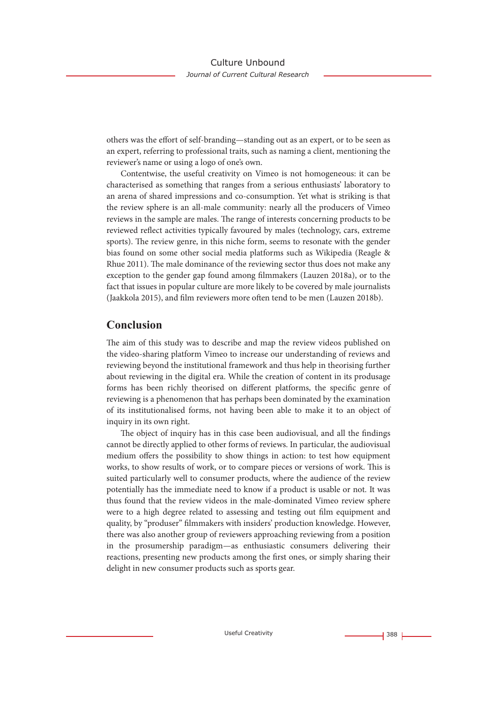others was the effort of self-branding—standing out as an expert, or to be seen as an expert, referring to professional traits, such as naming a client, mentioning the reviewer's name or using a logo of one's own.

Contentwise, the useful creativity on Vimeo is not homogeneous: it can be characterised as something that ranges from a serious enthusiasts' laboratory to an arena of shared impressions and co-consumption. Yet what is striking is that the review sphere is an all-male community: nearly all the producers of Vimeo reviews in the sample are males. The range of interests concerning products to be reviewed reflect activities typically favoured by males (technology, cars, extreme sports). The review genre, in this niche form, seems to resonate with the gender bias found on some other social media platforms such as Wikipedia (Reagle & Rhue 2011). The male dominance of the reviewing sector thus does not make any exception to the gender gap found among filmmakers (Lauzen 2018a), or to the fact that issues in popular culture are more likely to be covered by male journalists (Jaakkola 2015), and film reviewers more often tend to be men (Lauzen 2018b).

### **Conclusion**

The aim of this study was to describe and map the review videos published on the video-sharing platform Vimeo to increase our understanding of reviews and reviewing beyond the institutional framework and thus help in theorising further about reviewing in the digital era. While the creation of content in its produsage forms has been richly theorised on different platforms, the specific genre of reviewing is a phenomenon that has perhaps been dominated by the examination of its institutionalised forms, not having been able to make it to an object of inquiry in its own right.

The object of inquiry has in this case been audiovisual, and all the findings cannot be directly applied to other forms of reviews. In particular, the audiovisual medium offers the possibility to show things in action: to test how equipment works, to show results of work, or to compare pieces or versions of work. This is suited particularly well to consumer products, where the audience of the review potentially has the immediate need to know if a product is usable or not. It was thus found that the review videos in the male-dominated Vimeo review sphere were to a high degree related to assessing and testing out film equipment and quality, by "produser" filmmakers with insiders' production knowledge. However, there was also another group of reviewers approaching reviewing from a position in the prosumership paradigm—as enthusiastic consumers delivering their reactions, presenting new products among the first ones, or simply sharing their delight in new consumer products such as sports gear.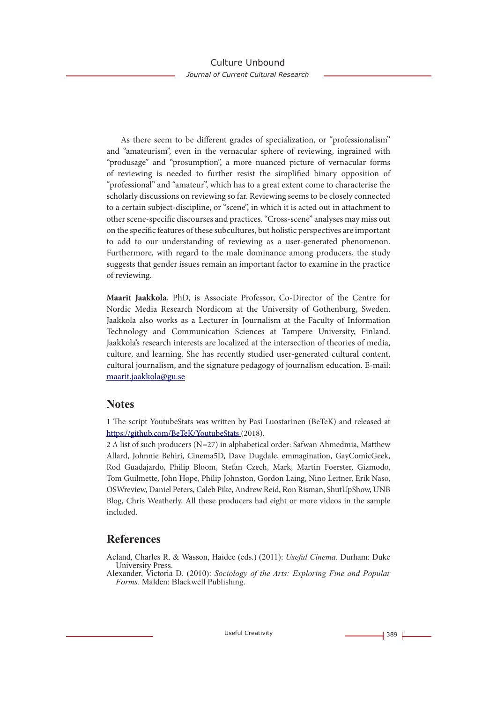As there seem to be different grades of specialization, or "professionalism" and "amateurism", even in the vernacular sphere of reviewing, ingrained with "produsage" and "prosumption", a more nuanced picture of vernacular forms of reviewing is needed to further resist the simplified binary opposition of "professional" and "amateur", which has to a great extent come to characterise the scholarly discussions on reviewing so far. Reviewing seems to be closely connected to a certain subject-discipline, or "scene", in which it is acted out in attachment to other scene-specific discourses and practices. "Cross-scene" analyses may miss out on the specific features of these subcultures, but holistic perspectives are important to add to our understanding of reviewing as a user-generated phenomenon. Furthermore, with regard to the male dominance among producers, the study suggests that gender issues remain an important factor to examine in the practice of reviewing.

**Maarit Jaakkola**, PhD, is Associate Professor, Co-Director of the Centre for Nordic Media Research Nordicom at the University of Gothenburg, Sweden. Jaakkola also works as a Lecturer in Journalism at the Faculty of Information Technology and Communication Sciences at Tampere University, Finland. Jaakkola's research interests are localized at the intersection of theories of media, culture, and learning. She has recently studied user-generated cultural content, cultural journalism, and the signature pedagogy of journalism education. E-mail: maarit.jaakkola@gu.se

#### **Notes**

1 The script YoutubeStats was written by Pasi Luostarinen (BeTeK) and released at https://github.com/BeTeK/YoutubeStats (2018).

2 A list of such producers (N=27) in alphabetical order: Safwan Ahmedmia, Matthew Allard, Johnnie Behiri, Cinema5D, Dave Dugdale, emmagination, GayComicGeek, Rod Guadajardo, Philip Bloom, Stefan Czech, Mark, Martin Foerster, Gizmodo, Tom Guilmette, John Hope, Philip Johnston, Gordon Laing, Nino Leitner, Erik Naso, OSWreview, Daniel Peters, Caleb Pike, Andrew Reid, Ron Risman, ShutUpShow, UNB Blog, Chris Weatherly. All these producers had eight or more videos in the sample included.

# **References**

- Acland, Charles R. & Wasson, Haidee (eds.) (2011): *Useful Cinema*. Durham: Duke University Press.
- Alexander, Victoria D. (2010): *Sociology of the Arts: Exploring Fine and Popular Forms*. Malden: Blackwell Publishing.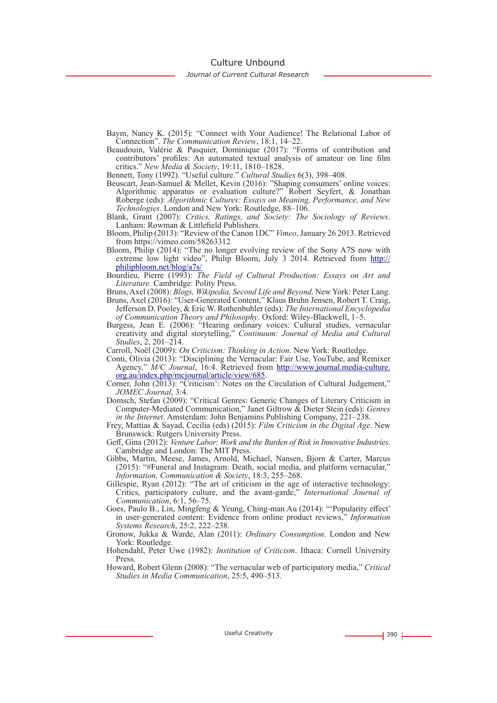Culture Unbound

*Journal of Current Cultural Research*

- Baym, Nancy K. (2015): "Connect with Your Audience! The Relational Labor of Connection". *The Communication Review*, 18:1, 14–22.
- Beaudouin, Valérie & Pasquier, Dominique (2017): "Forms of contribution and contributors' profiles: An automated textual analysis of amateur on line film critics." *New Media & Society*, 19:11, 1810–1828.

Bennett, Tony (1992). "Useful culture." *Cultural Studies* 6(3), 398–408.

- Beuscart, Jean-Samuel & Mellet, Kevin (2016): "Shaping consumers' online voices: Algorithmic apparatus or evaluation culture?" Robert Seyfert, & Jonathan Roberge (eds): *Algorithmic Cultures: Essays on Meaning, Performance, and New Technologies*. London and New York: Routledge, 88–106.
- Blank, Grant (2007): *Critics, Ratings, and Society: The Sociology of Reviews*. Lanham: Rowman & Littlefield Publishers.
- Bloom, Philip (2013): "Review of the Canon 1DC" *Vimeo*, January 26 2013. Retrieved from https://vimeo.com/58263312
- Bloom, Philip (2014): "The no longer evolving review of the Sony A7S now with extreme low light video", Philip Bloom, July 3 2014. Retrieved from http:// philipbloom.net/blog/a7s/
- Bourdieu, Pierre (1993): *The Field of Cultural Production: Essays on Art and Literature.* Cambridge: Polity Press.
- Bruns, Axel (2008): *Blogs, Wikipedia, Second Life and Beyond*. New York: Peter Lang.
- Bruns, Axel (2016): "User-Generated Content," Klaus Bruhn Jensen, Robert T. Craig, Jefferson D. Pooley, & Eric W. Rothenbuhler (eds): *The International Encyclopedia of Communication Theory and Philosophy*. Oxford: Wiley-Blackwell, 1–5.
- Burgess, Jean E. (2006): "Hearing ordinary voices: Cultural studies, vernacular creativity and digital storytelling," *Continuum: Journal of Media and Cultural Studies*, 2, 201–214.
- Carroll, Noël (2009): *On Criticism: Thinking in Action*. New York: Routledge.
- Conti, Olivia (2013): "Disciplining the Vernacular: Fair Use, YouTube, and Remixer Agency," *M/C Journal*, 16:4. Retrieved from http://www.journal.media-culture. org.au/index.php/mcjournal/article/view/685. Corner, John (2013): "Criticism': Notes on the Circulation of Cultural Judgement,"
- *JOMEC Journal*, 3:4.
- Domsch, Stefan (2009): "Critical Genres: Generic Changes of Literary Criticism in Computer-Mediated Communication," Janet Giltrow & Dieter Stein (eds): *Genres in the Internet*. Amsterdam: John Benjamins Publishing Company, 221–238.
- Frey, Mattias & Sayad, Cecilia (eds) (2015): *Film Criticism in the Digital Age*. New Brunswick: Rutgers University Press.
- Geff, Gina (2012): *Venture Labor: Work and the Burden of Risk in Innovative Industries*. Cambridge and London: The MIT Press.
- Gibbs, Martin, Meese, James, Arnold, Michael, Nansen, Bjorn & Carter, Marcus (2015): "#Funeral and Instagram: Death, social media, and platform vernacular," *Information, Communication & Society*, 18:3, 255–268.
- Gillespie, Ryan (2012): "The art of criticism in the age of interactive technology: Critics, participatory culture, and the avant-garde," *International Journal of Communication*, 6:1, 56–75.
- Goes, Paulo B., Lin, Mingfeng & Yeung, Ching-man Au (2014): "'Popularity effect' in user-generated content: Evidence from online product reviews," *Information Systems Research*, 25:2, 222–238.
- Gronow, Jukka & Warde, Alan (2011): *Ordinary Consumption*. London and New York: Routledge.
- Hohendahl, Peter Uwe (1982): *Institution of Criticism*. Ithaca: Cornell University Press.
- Howard, Robert Glenn (2008): "The vernacular web of participatory media," *Critical Studies in Media Communication*, 25:5, 490–513.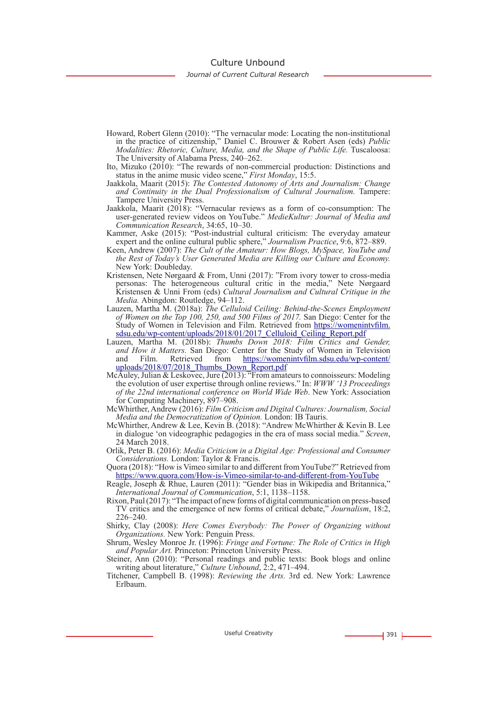#### Culture Unbound

#### *Journal of Current Cultural Research*

- Howard, Robert Glenn (2010): "The vernacular mode: Locating the non-institutional in the practice of citizenship," Daniel C. Brouwer & Robert Asen (eds) *Public Modalities: Rhetoric, Culture, Media, and the Shape of Public Life.* Tuscaloosa: The University of Alabama Press, 240–262.
- Ito, Mizuko (2010): "The rewards of non-commercial production: Distinctions and status in the anime music video scene," *First Monday*, 15:5.
- Jaakkola, Maarit (2015): *The Contested Autonomy of Arts and Journalism: Change and Continuity in the Dual Professionalism of Cultural Journalism.* Tampere: Tampere University Press.
- Jaakkola, Maarit (2018): "Vernacular reviews as a form of co-consumption: The user-generated review videos on YouTube." *MedieKultur: Journal of Media and Communication Research*, 34:65, 10–30.
- Kammer, Aske (2015): "Post-industrial cultural criticism: The everyday amateur expert and the online cultural public sphere," *Journalism Practice*, 9:6, 872–889.
- Keen, Andrew (2007): *The Cult of the Amateur: How Blogs, MySpace, YouTube and the Rest of Today's User Generated Media are Killing our Culture and Economy.*  New York: Doubleday.
- Kristensen, Nete Nørgaard & From, Unni (2017): "From ivory tower to cross-media personas: The heterogeneous cultural critic in the media," Nete Nørgaard Kristensen & Unni From (eds) *Cultural Journalism and Cultural Critique in the Media.* Abingdon: Routledge, 94–112.
- Lauzen, Martha M. (2018a): *The Celluloid Ceiling: Behind-the-Scenes Employment of Women on the Top 100, 250, and 500 Films of 2017.* San Diego: Center for the Study of Women in Television and Film. Retrieved from https://womenintvfilm. sdsu.edu/wp-content/uploads/2018/01/2017\_Celluloid\_Ceiling\_Report.pdf
- Lauzen, Martha M. (2018b): *Thumbs Down 2018: Film Critics and Gender, and How it Matters.* San Diego: Center for the Study of Women in Television https://womenintvfilm.sdsu.edu/wp-content/ uploads/2018/07/2018\_Thumbs\_Down\_Report.pdf
- McAuley, Julian & Leskovec, Jure (2013): "From amateurs to connoisseurs: Modeling the evolution of user expertise through online reviews." In: *WWW '13 Proceedings of the 22nd international conference on World Wide Web*. New York: Association for Computing Machinery, 897–908.
- McWhirther, Andrew (2016): *Film Criticism and Digital Cultures: Journalism, Social Media and the Democratization of Opinion.* London: IB Tauris.
- McWhirther, Andrew & Lee, Kevin B. (2018): "Andrew McWhirther & Kevin B. Lee in dialogue 'on videographic pedagogies in the era of mass social media." *Screen*, 24 March 2018.
- Orlik, Peter B. (2016): *Media Criticism in a Digital Age: Professional and Consumer Considerations.* London: Taylor & Francis.
- Quora (2018): "How is Vimeo similar to and different from YouTube?" Retrieved from https://www.quora.com/How-is-Vimeo-similar-to-and-different-from-YouTube
- Reagle, Joseph & Rhue, Lauren (2011): "Gender bias in Wikipedia and Britannica," *International Journal of Communication*, 5:1, 1138–1158.
- Rixon, Paul (2017): "The impact of new forms of digital communication on press-based TV critics and the emergence of new forms of critical debate," *Journalism*, 18:2, 226–240.
- Shirky, Clay (2008): *Here Comes Everybody: The Power of Organizing without Organizations.* New York: Penguin Press.
- Shrum, Wesley Monroe Jr. (1996): *Fringe and Fortune: The Role of Critics in High and Popular Art.* Princeton: Princeton University Press.
- Steiner, Ann (2010): "Personal readings and public texts: Book blogs and online writing about literature," *Culture Unbound*, 2:2, 471–494.
- Titchener, Campbell B. (1998): *Reviewing the Arts.* 3rd ed. New York: Lawrence Erlbaum.